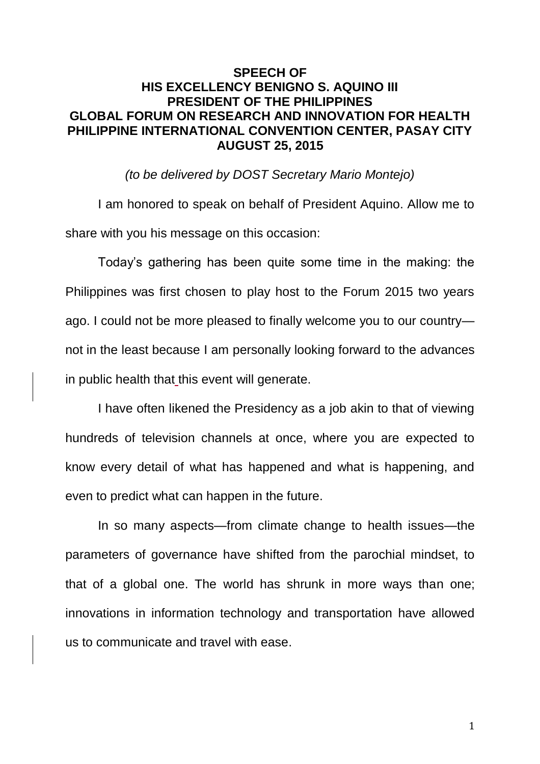## **SPEECH OF HIS EXCELLENCY BENIGNO S. AQUINO III PRESIDENT OF THE PHILIPPINES GLOBAL FORUM ON RESEARCH AND INNOVATION FOR HEALTH PHILIPPINE INTERNATIONAL CONVENTION CENTER, PASAY CITY AUGUST 25, 2015**

*(to be delivered by DOST Secretary Mario Montejo)*

I am honored to speak on behalf of President Aquino. Allow me to share with you his message on this occasion:

Today's gathering has been quite some time in the making: the Philippines was first chosen to play host to the Forum 2015 two years ago. I could not be more pleased to finally welcome you to our country not in the least because I am personally looking forward to the advances in public health that this event will generate.

I have often likened the Presidency as a job akin to that of viewing hundreds of television channels at once, where you are expected to know every detail of what has happened and what is happening, and even to predict what can happen in the future.

In so many aspects—from climate change to health issues—the parameters of governance have shifted from the parochial mindset, to that of a global one. The world has shrunk in more ways than one; innovations in information technology and transportation have allowed us to communicate and travel with ease.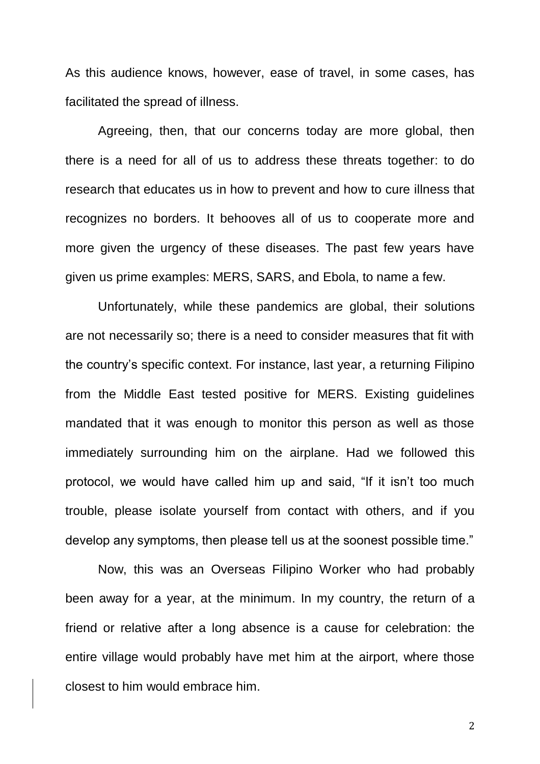As this audience knows, however, ease of travel, in some cases, has facilitated the spread of illness.

Agreeing, then, that our concerns today are more global, then there is a need for all of us to address these threats together: to do research that educates us in how to prevent and how to cure illness that recognizes no borders. It behooves all of us to cooperate more and more given the urgency of these diseases. The past few years have given us prime examples: MERS, SARS, and Ebola, to name a few.

Unfortunately, while these pandemics are global, their solutions are not necessarily so; there is a need to consider measures that fit with the country's specific context. For instance, last year, a returning Filipino from the Middle East tested positive for MERS. Existing guidelines mandated that it was enough to monitor this person as well as those immediately surrounding him on the airplane. Had we followed this protocol, we would have called him up and said, "If it isn't too much trouble, please isolate yourself from contact with others, and if you develop any symptoms, then please tell us at the soonest possible time."

Now, this was an Overseas Filipino Worker who had probably been away for a year, at the minimum. In my country, the return of a friend or relative after a long absence is a cause for celebration: the entire village would probably have met him at the airport, where those closest to him would embrace him.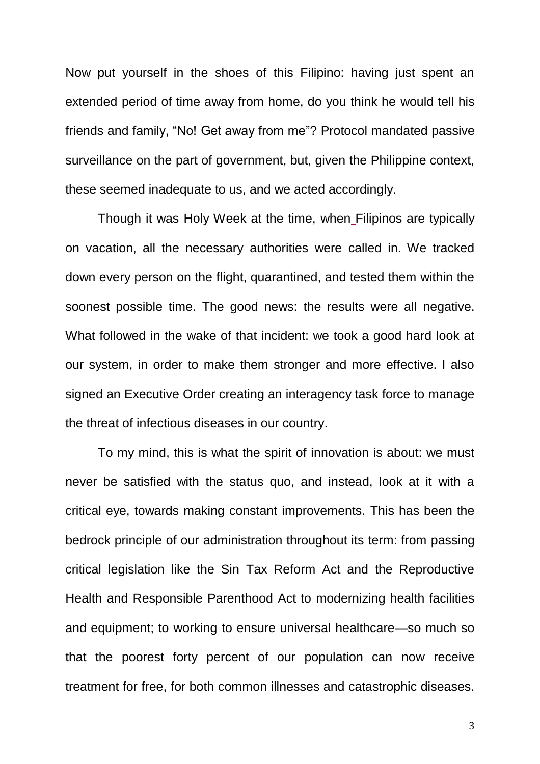Now put yourself in the shoes of this Filipino: having just spent an extended period of time away from home, do you think he would tell his friends and family, "No! Get away from me"? Protocol mandated passive surveillance on the part of government, but, given the Philippine context, these seemed inadequate to us, and we acted accordingly.

Though it was Holy Week at the time, when Filipinos are typically on vacation, all the necessary authorities were called in. We tracked down every person on the flight, quarantined, and tested them within the soonest possible time. The good news: the results were all negative. What followed in the wake of that incident: we took a good hard look at our system, in order to make them stronger and more effective. I also signed an Executive Order creating an interagency task force to manage the threat of infectious diseases in our country.

To my mind, this is what the spirit of innovation is about: we must never be satisfied with the status quo, and instead, look at it with a critical eye, towards making constant improvements. This has been the bedrock principle of our administration throughout its term: from passing critical legislation like the Sin Tax Reform Act and the Reproductive Health and Responsible Parenthood Act to modernizing health facilities and equipment; to working to ensure universal healthcare—so much so that the poorest forty percent of our population can now receive treatment for free, for both common illnesses and catastrophic diseases.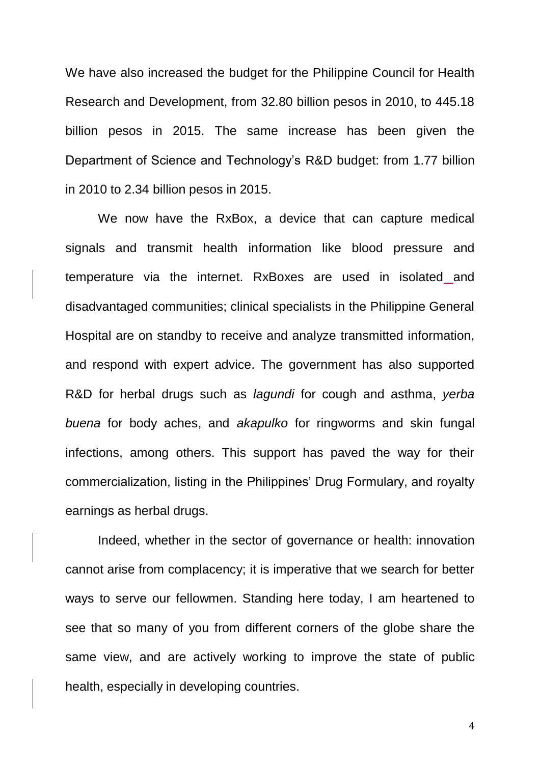We have also increased the budget for the Philippine Council for Health Research and Development, from 32.80 billion pesos in 2010, to 445.18 billion pesos in 2015. The same increase has been given the Department of Science and Technology's R&D budget: from 1.77 billion in 2010 to 2.34 billion pesos in 2015.

We now have the RxBox, a device that can capture medical signals and transmit health information like blood pressure and temperature via the internet. RxBoxes are used in isolated and disadvantaged communities; clinical specialists in the Philippine General Hospital are on standby to receive and analyze transmitted information, and respond with expert advice. The government has also supported R&D for herbal drugs such as *lagundi* for cough and asthma, *yerba buena* for body aches, and *akapulko* for ringworms and skin fungal infections, among others. This support has paved the way for their commercialization, listing in the Philippines' Drug Formulary, and royalty earnings as herbal drugs.

Indeed, whether in the sector of governance or health: innovation cannot arise from complacency; it is imperative that we search for better ways to serve our fellowmen. Standing here today, I am heartened to see that so many of you from different corners of the globe share the same view, and are actively working to improve the state of public health, especially in developing countries.